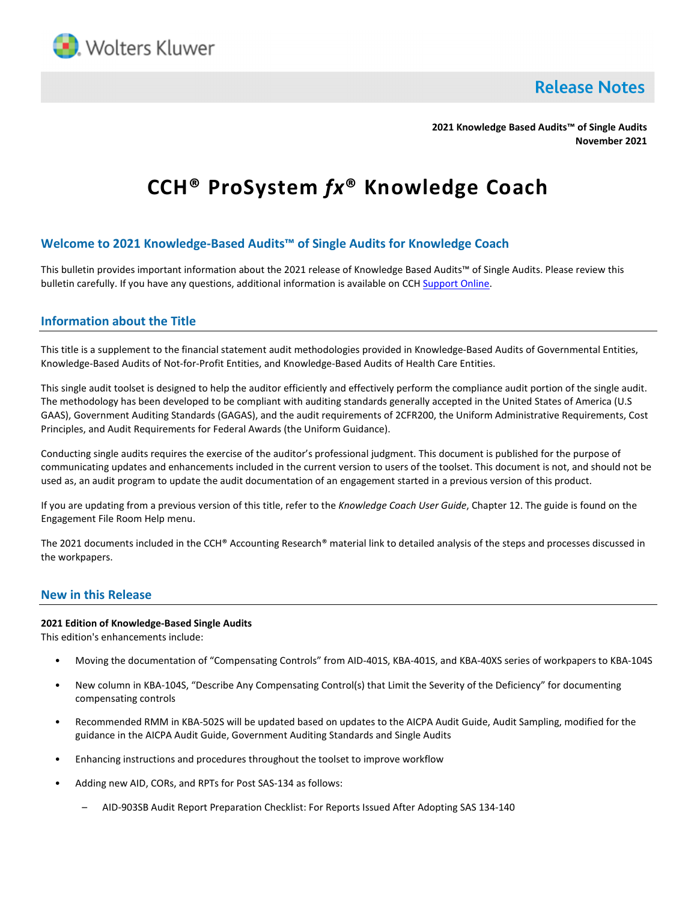

**Release Notes** 

**2021 Knowledge Based Audits™ of Single Audits November 2021**

# **CCH® ProSystem** *fx***® Knowledge Coach**

## **Welcome to 2021 Knowledge-Based Audits™ of Single Audits for Knowledge Coach**

This bulletin provides important information about the 2021 release of Knowledge Based Audits™ of Single Audits. Please review this bulletin carefully. If you have any questions, additional information is available on CC[H Support Online.](http://support.cch.com/productsupport/)

## **Information about the Title**

This title is a supplement to the financial statement audit methodologies provided in Knowledge-Based Audits of Governmental Entities, Knowledge-Based Audits of Not-for-Profit Entities, and Knowledge-Based Audits of Health Care Entities.

This single audit toolset is designed to help the auditor efficiently and effectively perform the compliance audit portion of the single audit. The methodology has been developed to be compliant with auditing standards generally accepted in the United States of America (U.S GAAS), Government Auditing Standards (GAGAS), and the audit requirements of 2CFR200, the Uniform Administrative Requirements, Cost Principles, and Audit Requirements for Federal Awards (the Uniform Guidance).

Conducting single audits requires the exercise of the auditor's professional judgment. This document is published for the purpose of communicating updates and enhancements included in the current version to users of the toolset. This document is not, and should not be used as, an audit program to update the audit documentation of an engagement started in a previous version of this product.

If you are updating from a previous version of this title, refer to the *Knowledge Coach User Guide*, Chapter 12. The guide is found on the Engagement File Room Help menu.

The 2021 documents included in the CCH® Accounting Research® material link to detailed analysis of the steps and processes discussed in the workpapers.

## **New in this Release**

#### **2021 Edition of Knowledge-Based Single Audits**

This edition's enhancements include:

- Moving the documentation of "Compensating Controls" from AID-401S, KBA-401S, and KBA-40XS series of workpapers to KBA-104S
- New column in KBA-104S, "Describe Any Compensating Control(s) that Limit the Severity of the Deficiency" for documenting compensating controls
- Recommended RMM in KBA-502S will be updated based on updates to the AICPA Audit Guide, Audit Sampling, modified for the guidance in the AICPA Audit Guide, Government Auditing Standards and Single Audits
- Enhancing instructions and procedures throughout the toolset to improve workflow
- Adding new AID, CORs, and RPTs for Post SAS-134 as follows:
	- AID-903SB Audit Report Preparation Checklist: For Reports Issued After Adopting SAS 134-140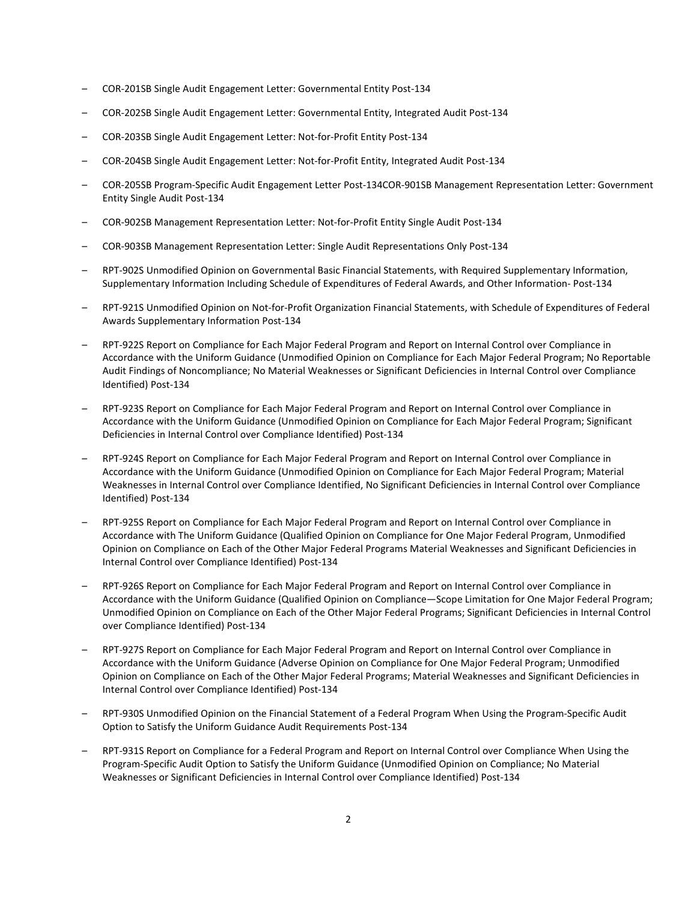- COR-201SB Single Audit Engagement Letter: Governmental Entity Post-134
- COR-202SB Single Audit Engagement Letter: Governmental Entity, Integrated Audit Post-134
- COR-203SB Single Audit Engagement Letter: Not-for-Profit Entity Post-134
- COR-204SB Single Audit Engagement Letter: Not-for-Profit Entity, Integrated Audit Post-134
- COR-205SB Program-Specific Audit Engagement Letter Post-134COR-901SB Management Representation Letter: Government Entity Single Audit Post-134
- COR-902SB Management Representation Letter: Not-for-Profit Entity Single Audit Post-134
- COR-903SB Management Representation Letter: Single Audit Representations Only Post-134
- RPT-902S Unmodified Opinion on Governmental Basic Financial Statements, with Required Supplementary Information, Supplementary Information Including Schedule of Expenditures of Federal Awards, and Other Information- Post-134
- RPT-921S Unmodified Opinion on Not-for-Profit Organization Financial Statements, with Schedule of Expenditures of Federal Awards Supplementary Information Post-134
- RPT-922S Report on Compliance for Each Major Federal Program and Report on Internal Control over Compliance in Accordance with the Uniform Guidance (Unmodified Opinion on Compliance for Each Major Federal Program; No Reportable Audit Findings of Noncompliance; No Material Weaknesses or Significant Deficiencies in Internal Control over Compliance Identified) Post-134
- RPT-923S Report on Compliance for Each Major Federal Program and Report on Internal Control over Compliance in Accordance with the Uniform Guidance (Unmodified Opinion on Compliance for Each Major Federal Program; Significant Deficiencies in Internal Control over Compliance Identified) Post-134
- RPT-924S Report on Compliance for Each Major Federal Program and Report on Internal Control over Compliance in Accordance with the Uniform Guidance (Unmodified Opinion on Compliance for Each Major Federal Program; Material Weaknesses in Internal Control over Compliance Identified, No Significant Deficiencies in Internal Control over Compliance Identified) Post-134
- RPT-925S Report on Compliance for Each Major Federal Program and Report on Internal Control over Compliance in Accordance with The Uniform Guidance (Qualified Opinion on Compliance for One Major Federal Program, Unmodified Opinion on Compliance on Each of the Other Major Federal Programs Material Weaknesses and Significant Deficiencies in Internal Control over Compliance Identified) Post-134
- RPT-926S Report on Compliance for Each Major Federal Program and Report on Internal Control over Compliance in Accordance with the Uniform Guidance (Qualified Opinion on Compliance—Scope Limitation for One Major Federal Program; Unmodified Opinion on Compliance on Each of the Other Major Federal Programs; Significant Deficiencies in Internal Control over Compliance Identified) Post-134
- RPT-927S Report on Compliance for Each Major Federal Program and Report on Internal Control over Compliance in Accordance with the Uniform Guidance (Adverse Opinion on Compliance for One Major Federal Program; Unmodified Opinion on Compliance on Each of the Other Major Federal Programs; Material Weaknesses and Significant Deficiencies in Internal Control over Compliance Identified) Post-134
- RPT-930S Unmodified Opinion on the Financial Statement of a Federal Program When Using the Program-Specific Audit Option to Satisfy the Uniform Guidance Audit Requirements Post-134
- RPT-931S Report on Compliance for a Federal Program and Report on Internal Control over Compliance When Using the Program-Specific Audit Option to Satisfy the Uniform Guidance (Unmodified Opinion on Compliance; No Material Weaknesses or Significant Deficiencies in Internal Control over Compliance Identified) Post-134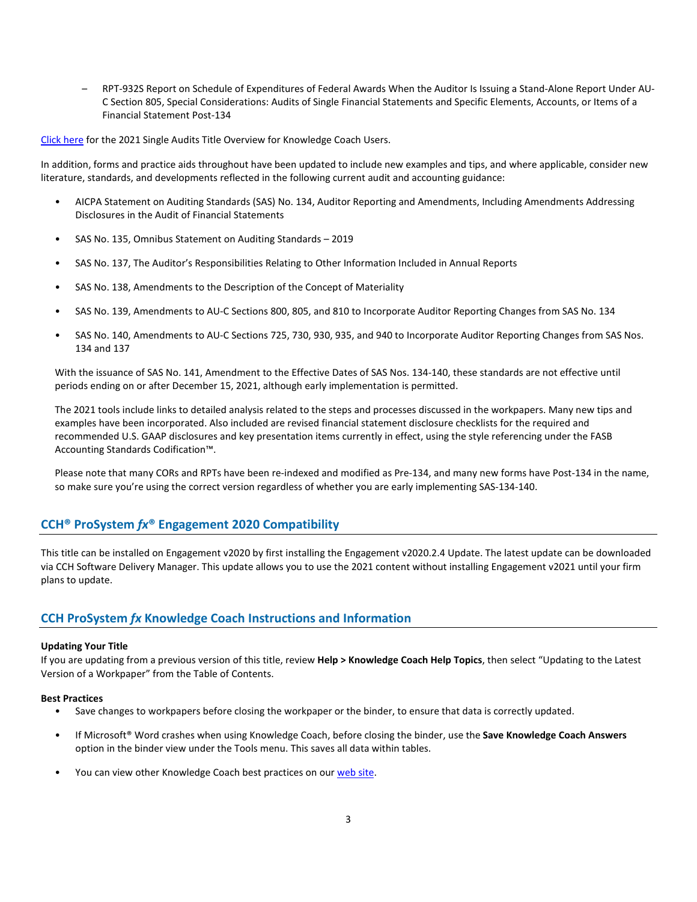– RPT-932S Report on Schedule of Expenditures of Federal Awards When the Auditor Is Issuing a Stand-Alone Report Under AU-C Section 805, Special Considerations: Audits of Single Financial Statements and Specific Elements, Accounts, or Items of a Financial Statement Post-134

[Click here](https://support.cch.com/updates/knowledgecoach/pdf/guides_tab/2021%20Single%20Audit%20Title%20Overview%20for%20Knowledge%20Coach%20Users.pdf) for the 2021 Single Audits Title Overview for Knowledge Coach Users.

In addition, forms and practice aids throughout have been updated to include new examples and tips, and where applicable, consider new literature, standards, and developments reflected in the following current audit and accounting guidance:

- AICPA Statement on Auditing Standards (SAS) No. 134, Auditor Reporting and Amendments, Including Amendments Addressing Disclosures in the Audit of Financial Statements
- SAS No. 135, Omnibus Statement on Auditing Standards 2019
- SAS No. 137, The Auditor's Responsibilities Relating to Other Information Included in Annual Reports
- SAS No. 138, Amendments to the Description of the Concept of Materiality
- SAS No. 139, Amendments to AU-C Sections 800, 805, and 810 to Incorporate Auditor Reporting Changes from SAS No. 134
- SAS No. 140, Amendments to AU-C Sections 725, 730, 930, 935, and 940 to Incorporate Auditor Reporting Changes from SAS Nos. 134 and 137

With the issuance of SAS No. 141, Amendment to the Effective Dates of SAS Nos. 134-140, these standards are not effective until periods ending on or after December 15, 2021, although early implementation is permitted.

The 2021 tools include links to detailed analysis related to the steps and processes discussed in the workpapers. Many new tips and examples have been incorporated. Also included are revised financial statement disclosure checklists for the required and recommended U.S. GAAP disclosures and key presentation items currently in effect, using the style referencing under the FASB Accounting Standards Codification™.

Please note that many CORs and RPTs have been re-indexed and modified as Pre-134, and many new forms have Post-134 in the name, so make sure you're using the correct version regardless of whether you are early implementing SAS-134-140.

## **CCH® ProSystem** *fx***® Engagement 2020 Compatibility**

This title can be installed on Engagement v2020 by first installing the Engagement v2020.2.4 Update. The latest update can be downloaded via CCH Software Delivery Manager. This update allows you to use the 2021 content without installing Engagement v2021 until your firm plans to update.

## **CCH ProSystem** *fx* **Knowledge Coach Instructions and Information**

#### **Updating Your Title**

If you are updating from a previous version of this title, review **Help > Knowledge Coach Help Topics**, then select "Updating to the Latest Version of a Workpaper" from the Table of Contents.

#### **Best Practices**

- Save changes to workpapers before closing the workpaper or the binder, to ensure that data is correctly updated.
- If Microsoft® Word crashes when using Knowledge Coach, before closing the binder, use the **Save Knowledge Coach Answers** option in the binder view under the Tools menu. This saves all data within tables.
- You can view other Knowledge Coach best practices on ou[r web](https://support.cch.com/kb/solution/000034942/sw34947) site.